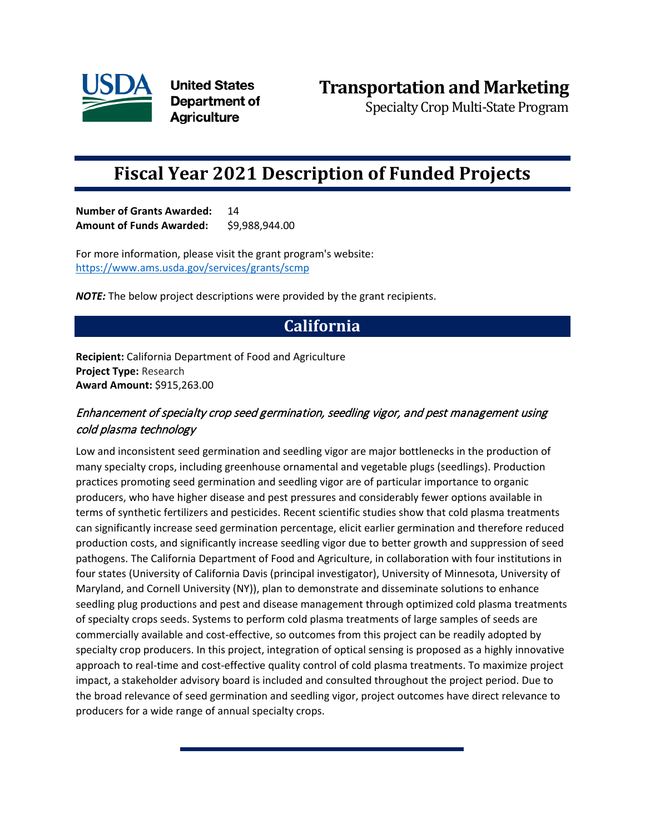

**United States** Department of **Agriculture** 

Specialty Crop Multi-State Program

# **Fiscal Year 2021 Description of Funded Projects**

**Number of Grants Awarded:** 14 **Amount of Funds Awarded:** \$9,988,944.00

For more information, please visit the grant program's website: <https://www.ams.usda.gov/services/grants/scmp>

*NOTE:* The below project descriptions were provided by the grant recipients.

## **California**

**Recipient:** California Department of Food and Agriculture **Project Type:** Research **Award Amount:** \$915,263.00

### Enhancement of specialty crop seed germination, seedling vigor, and pest management using cold plasma technology

Low and inconsistent seed germination and seedling vigor are major bottlenecks in the production of many specialty crops, including greenhouse ornamental and vegetable plugs (seedlings). Production practices promoting seed germination and seedling vigor are of particular importance to organic producers, who have higher disease and pest pressures and considerably fewer options available in terms of synthetic fertilizers and pesticides. Recent scientific studies show that cold plasma treatments can significantly increase seed germination percentage, elicit earlier germination and therefore reduced production costs, and significantly increase seedling vigor due to better growth and suppression of seed pathogens. The California Department of Food and Agriculture, in collaboration with four institutions in four states (University of California Davis (principal investigator), University of Minnesota, University of Maryland, and Cornell University (NY)), plan to demonstrate and disseminate solutions to enhance seedling plug productions and pest and disease management through optimized cold plasma treatments of specialty crops seeds. Systems to perform cold plasma treatments of large samples of seeds are commercially available and cost-effective, so outcomes from this project can be readily adopted by specialty crop producers. In this project, integration of optical sensing is proposed as a highly innovative approach to real-time and cost-effective quality control of cold plasma treatments. To maximize project impact, a stakeholder advisory board is included and consulted throughout the project period. Due to the broad relevance of seed germination and seedling vigor, project outcomes have direct relevance to producers for a wide range of annual specialty crops.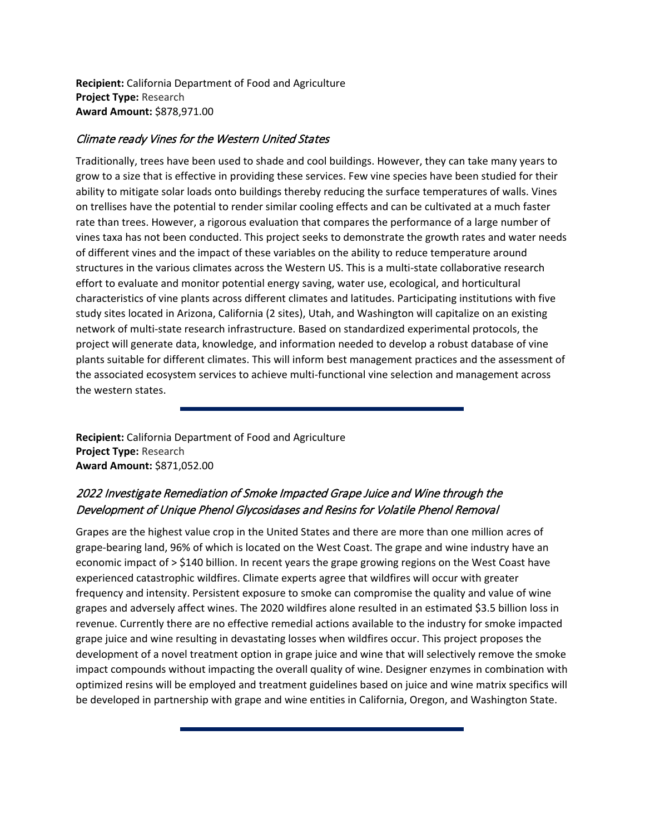**Recipient:** California Department of Food and Agriculture **Project Type:** Research **Award Amount:** \$878,971.00

#### Climate ready Vines for the Western United States

Traditionally, trees have been used to shade and cool buildings. However, they can take many years to grow to a size that is effective in providing these services. Few vine species have been studied for their ability to mitigate solar loads onto buildings thereby reducing the surface temperatures of walls. Vines on trellises have the potential to render similar cooling effects and can be cultivated at a much faster rate than trees. However, a rigorous evaluation that compares the performance of a large number of vines taxa has not been conducted. This project seeks to demonstrate the growth rates and water needs of different vines and the impact of these variables on the ability to reduce temperature around structures in the various climates across the Western US. This is a multi-state collaborative research effort to evaluate and monitor potential energy saving, water use, ecological, and horticultural characteristics of vine plants across different climates and latitudes. Participating institutions with five study sites located in Arizona, California (2 sites), Utah, and Washington will capitalize on an existing network of multi-state research infrastructure. Based on standardized experimental protocols, the project will generate data, knowledge, and information needed to develop a robust database of vine plants suitable for different climates. This will inform best management practices and the assessment of the associated ecosystem services to achieve multi-functional vine selection and management across the western states.

**Recipient:** California Department of Food and Agriculture **Project Type:** Research **Award Amount:** \$871,052.00

### 2022 Investigate Remediation of Smoke Impacted Grape Juice and Wine through the Development of Unique Phenol Glycosidases and Resins for Volatile Phenol Removal

Grapes are the highest value crop in the United States and there are more than one million acres of grape-bearing land, 96% of which is located on the West Coast. The grape and wine industry have an economic impact of > \$140 billion. In recent years the grape growing regions on the West Coast have experienced catastrophic wildfires. Climate experts agree that wildfires will occur with greater frequency and intensity. Persistent exposure to smoke can compromise the quality and value of wine grapes and adversely affect wines. The 2020 wildfires alone resulted in an estimated \$3.5 billion loss in revenue. Currently there are no effective remedial actions available to the industry for smoke impacted grape juice and wine resulting in devastating losses when wildfires occur. This project proposes the development of a novel treatment option in grape juice and wine that will selectively remove the smoke impact compounds without impacting the overall quality of wine. Designer enzymes in combination with optimized resins will be employed and treatment guidelines based on juice and wine matrix specifics will be developed in partnership with grape and wine entities in California, Oregon, and Washington State.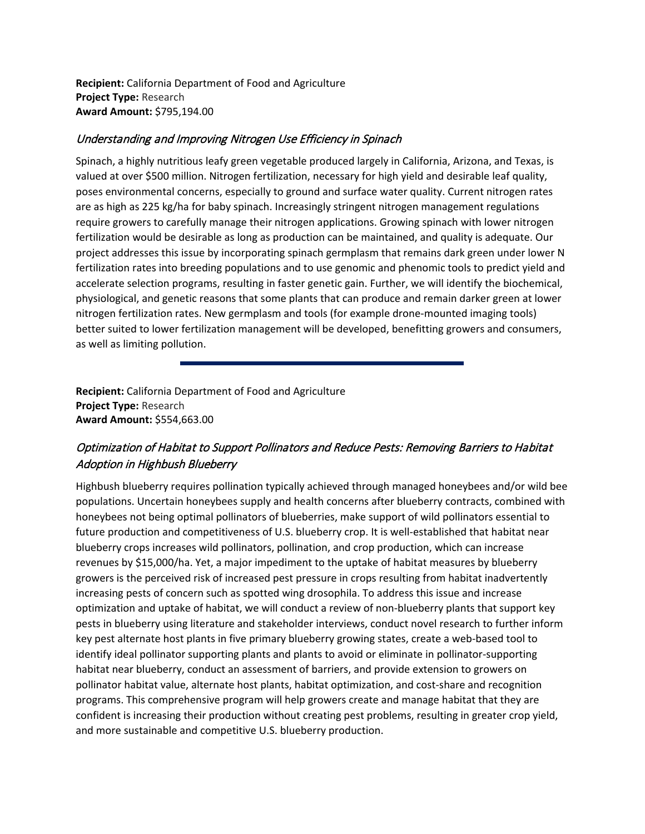**Recipient:** California Department of Food and Agriculture **Project Type:** Research **Award Amount:** \$795,194.00

#### Understanding and Improving Nitrogen Use Efficiency in Spinach

Spinach, a highly nutritious leafy green vegetable produced largely in California, Arizona, and Texas, is valued at over \$500 million. Nitrogen fertilization, necessary for high yield and desirable leaf quality, poses environmental concerns, especially to ground and surface water quality. Current nitrogen rates are as high as 225 kg/ha for baby spinach. Increasingly stringent nitrogen management regulations require growers to carefully manage their nitrogen applications. Growing spinach with lower nitrogen fertilization would be desirable as long as production can be maintained, and quality is adequate. Our project addresses this issue by incorporating spinach germplasm that remains dark green under lower N fertilization rates into breeding populations and to use genomic and phenomic tools to predict yield and accelerate selection programs, resulting in faster genetic gain. Further, we will identify the biochemical, physiological, and genetic reasons that some plants that can produce and remain darker green at lower nitrogen fertilization rates. New germplasm and tools (for example drone-mounted imaging tools) better suited to lower fertilization management will be developed, benefitting growers and consumers, as well as limiting pollution.

**Recipient:** California Department of Food and Agriculture **Project Type:** Research **Award Amount:** \$554,663.00

## Optimization of Habitat to Support Pollinators and Reduce Pests: Removing Barriers to Habitat Adoption in Highbush Blueberry

Highbush blueberry requires pollination typically achieved through managed honeybees and/or wild bee populations. Uncertain honeybees supply and health concerns after blueberry contracts, combined with honeybees not being optimal pollinators of blueberries, make support of wild pollinators essential to future production and competitiveness of U.S. blueberry crop. It is well-established that habitat near blueberry crops increases wild pollinators, pollination, and crop production, which can increase revenues by \$15,000/ha. Yet, a major impediment to the uptake of habitat measures by blueberry growers is the perceived risk of increased pest pressure in crops resulting from habitat inadvertently increasing pests of concern such as spotted wing drosophila. To address this issue and increase optimization and uptake of habitat, we will conduct a review of non-blueberry plants that support key pests in blueberry using literature and stakeholder interviews, conduct novel research to further inform key pest alternate host plants in five primary blueberry growing states, create a web-based tool to identify ideal pollinator supporting plants and plants to avoid or eliminate in pollinator-supporting habitat near blueberry, conduct an assessment of barriers, and provide extension to growers on pollinator habitat value, alternate host plants, habitat optimization, and cost-share and recognition programs. This comprehensive program will help growers create and manage habitat that they are confident is increasing their production without creating pest problems, resulting in greater crop yield, and more sustainable and competitive U.S. blueberry production.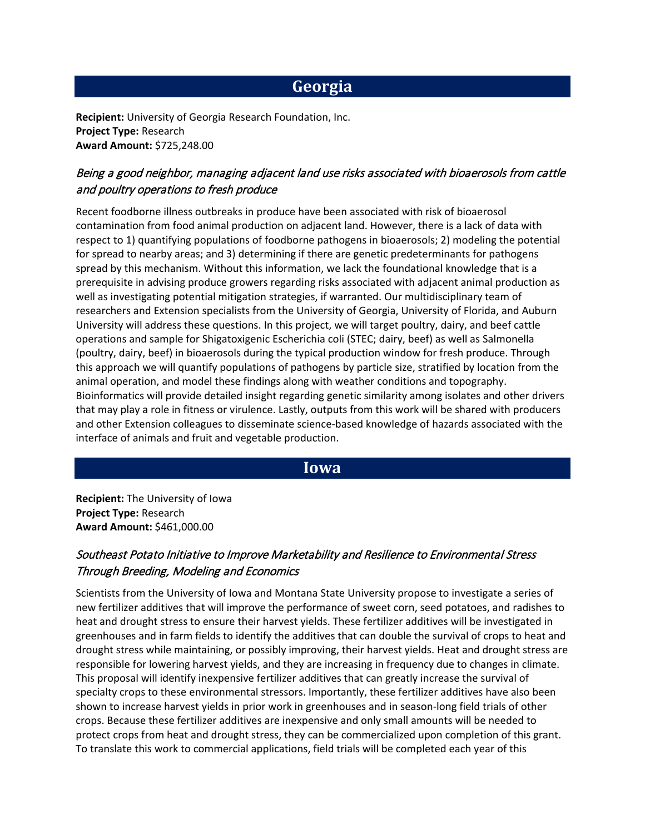## **Georgia**

**Recipient:** University of Georgia Research Foundation, Inc. **Project Type:** Research **Award Amount:** \$725,248.00

### Being a good neighbor, managing adjacent land use risks associated with bioaerosols from cattle and poultry operations to fresh produce

Recent foodborne illness outbreaks in produce have been associated with risk of bioaerosol contamination from food animal production on adjacent land. However, there is a lack of data with respect to 1) quantifying populations of foodborne pathogens in bioaerosols; 2) modeling the potential for spread to nearby areas; and 3) determining if there are genetic predeterminants for pathogens spread by this mechanism. Without this information, we lack the foundational knowledge that is a prerequisite in advising produce growers regarding risks associated with adjacent animal production as well as investigating potential mitigation strategies, if warranted. Our multidisciplinary team of researchers and Extension specialists from the University of Georgia, University of Florida, and Auburn University will address these questions. In this project, we will target poultry, dairy, and beef cattle operations and sample for Shigatoxigenic Escherichia coli (STEC; dairy, beef) as well as Salmonella (poultry, dairy, beef) in bioaerosols during the typical production window for fresh produce. Through this approach we will quantify populations of pathogens by particle size, stratified by location from the animal operation, and model these findings along with weather conditions and topography. Bioinformatics will provide detailed insight regarding genetic similarity among isolates and other drivers that may play a role in fitness or virulence. Lastly, outputs from this work will be shared with producers and other Extension colleagues to disseminate science-based knowledge of hazards associated with the interface of animals and fruit and vegetable production.

### **Iowa**

**Recipient:** The University of Iowa **Project Type:** Research **Award Amount:** \$461,000.00

### Southeast Potato Initiative to Improve Marketability and Resilience to Environmental Stress Through Breeding, Modeling and Economics

Scientists from the University of Iowa and Montana State University propose to investigate a series of new fertilizer additives that will improve the performance of sweet corn, seed potatoes, and radishes to heat and drought stress to ensure their harvest yields. These fertilizer additives will be investigated in greenhouses and in farm fields to identify the additives that can double the survival of crops to heat and drought stress while maintaining, or possibly improving, their harvest yields. Heat and drought stress are responsible for lowering harvest yields, and they are increasing in frequency due to changes in climate. This proposal will identify inexpensive fertilizer additives that can greatly increase the survival of specialty crops to these environmental stressors. Importantly, these fertilizer additives have also been shown to increase harvest yields in prior work in greenhouses and in season-long field trials of other crops. Because these fertilizer additives are inexpensive and only small amounts will be needed to protect crops from heat and drought stress, they can be commercialized upon completion of this grant. To translate this work to commercial applications, field trials will be completed each year of this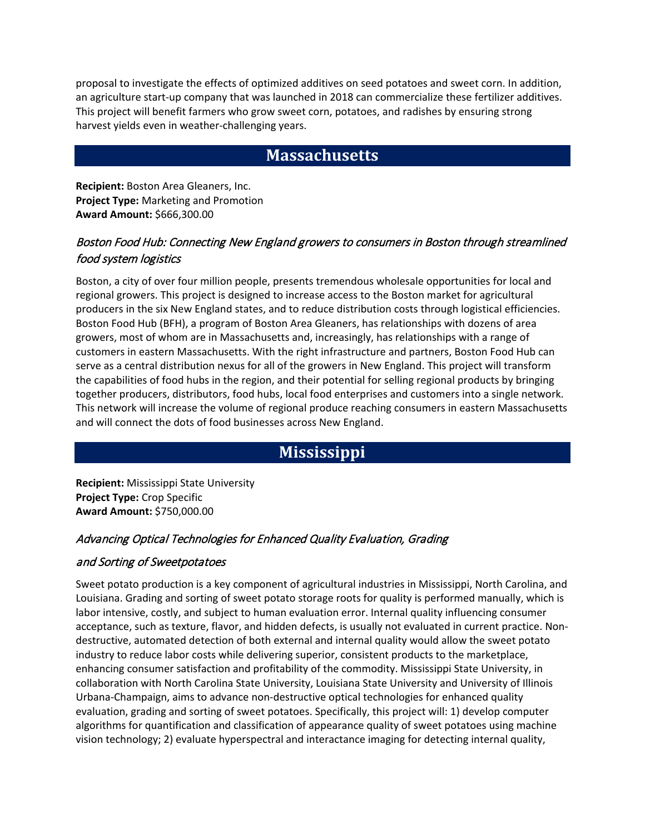proposal to investigate the effects of optimized additives on seed potatoes and sweet corn. In addition, an agriculture start-up company that was launched in 2018 can commercialize these fertilizer additives. This project will benefit farmers who grow sweet corn, potatoes, and radishes by ensuring strong harvest yields even in weather-challenging years.

## **Massachusetts**

**Recipient:** Boston Area Gleaners, Inc. **Project Type:** Marketing and Promotion **Award Amount:** \$666,300.00

### Boston Food Hub: Connecting New England growers to consumers in Boston through streamlined food system logistics

Boston, a city of over four million people, presents tremendous wholesale opportunities for local and regional growers. This project is designed to increase access to the Boston market for agricultural producers in the six New England states, and to reduce distribution costs through logistical efficiencies. Boston Food Hub (BFH), a program of Boston Area Gleaners, has relationships with dozens of area growers, most of whom are in Massachusetts and, increasingly, has relationships with a range of customers in eastern Massachusetts. With the right infrastructure and partners, Boston Food Hub can serve as a central distribution nexus for all of the growers in New England. This project will transform the capabilities of food hubs in the region, and their potential for selling regional products by bringing together producers, distributors, food hubs, local food enterprises and customers into a single network. This network will increase the volume of regional produce reaching consumers in eastern Massachusetts and will connect the dots of food businesses across New England.

## **Mississippi**

**Recipient:** Mississippi State University **Project Type:** Crop Specific **Award Amount:** \$750,000.00

### Advancing Optical Technologies for Enhanced Quality Evaluation, Grading

#### and Sorting of Sweetpotatoes

Sweet potato production is a key component of agricultural industries in Mississippi, North Carolina, and Louisiana. Grading and sorting of sweet potato storage roots for quality is performed manually, which is labor intensive, costly, and subject to human evaluation error. Internal quality influencing consumer acceptance, such as texture, flavor, and hidden defects, is usually not evaluated in current practice. Nondestructive, automated detection of both external and internal quality would allow the sweet potato industry to reduce labor costs while delivering superior, consistent products to the marketplace, enhancing consumer satisfaction and profitability of the commodity. Mississippi State University, in collaboration with North Carolina State University, Louisiana State University and University of Illinois Urbana-Champaign, aims to advance non-destructive optical technologies for enhanced quality evaluation, grading and sorting of sweet potatoes. Specifically, this project will: 1) develop computer algorithms for quantification and classification of appearance quality of sweet potatoes using machine vision technology; 2) evaluate hyperspectral and interactance imaging for detecting internal quality,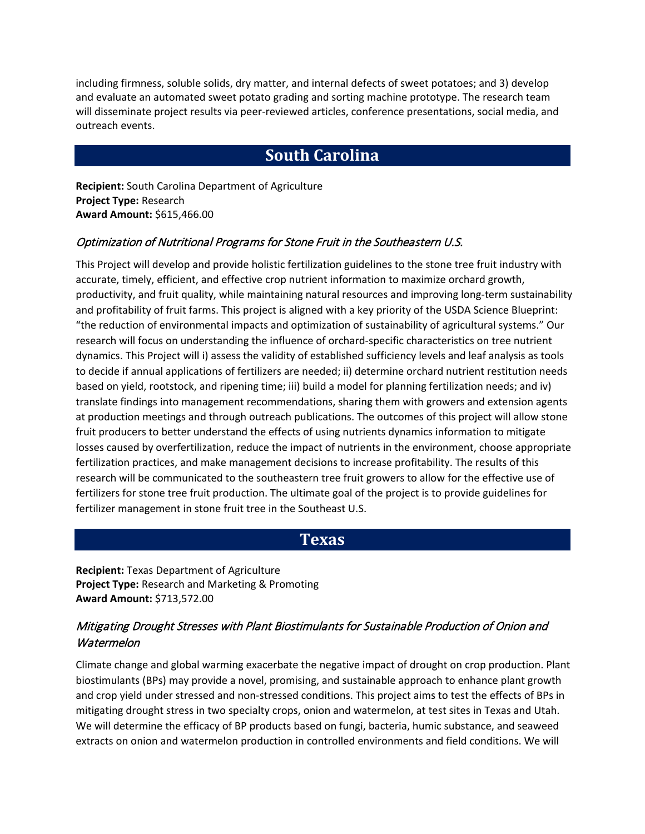including firmness, soluble solids, dry matter, and internal defects of sweet potatoes; and 3) develop and evaluate an automated sweet potato grading and sorting machine prototype. The research team will disseminate project results via peer-reviewed articles, conference presentations, social media, and outreach events.

## **South Carolina**

**Recipient:** South Carolina Department of Agriculture **Project Type:** Research **Award Amount:** \$615,466.00

#### Optimization of Nutritional Programs for Stone Fruit in the Southeastern U.S.

This Project will develop and provide holistic fertilization guidelines to the stone tree fruit industry with accurate, timely, efficient, and effective crop nutrient information to maximize orchard growth, productivity, and fruit quality, while maintaining natural resources and improving long-term sustainability and profitability of fruit farms. This project is aligned with a key priority of the USDA Science Blueprint: "the reduction of environmental impacts and optimization of sustainability of agricultural systems." Our research will focus on understanding the influence of orchard-specific characteristics on tree nutrient dynamics. This Project will i) assess the validity of established sufficiency levels and leaf analysis as tools to decide if annual applications of fertilizers are needed; ii) determine orchard nutrient restitution needs based on yield, rootstock, and ripening time; iii) build a model for planning fertilization needs; and iv) translate findings into management recommendations, sharing them with growers and extension agents at production meetings and through outreach publications. The outcomes of this project will allow stone fruit producers to better understand the effects of using nutrients dynamics information to mitigate losses caused by overfertilization, reduce the impact of nutrients in the environment, choose appropriate fertilization practices, and make management decisions to increase profitability. The results of this research will be communicated to the southeastern tree fruit growers to allow for the effective use of fertilizers for stone tree fruit production. The ultimate goal of the project is to provide guidelines for fertilizer management in stone fruit tree in the Southeast U.S.

### **Texas**

**Recipient:** Texas Department of Agriculture **Project Type:** Research and Marketing & Promoting **Award Amount:** \$713,572.00

### Mitigating Drought Stresses with Plant Biostimulants for Sustainable Production of Onion and **Watermelon**

Climate change and global warming exacerbate the negative impact of drought on crop production. Plant biostimulants (BPs) may provide a novel, promising, and sustainable approach to enhance plant growth and crop yield under stressed and non-stressed conditions. This project aims to test the effects of BPs in mitigating drought stress in two specialty crops, onion and watermelon, at test sites in Texas and Utah. We will determine the efficacy of BP products based on fungi, bacteria, humic substance, and seaweed extracts on onion and watermelon production in controlled environments and field conditions. We will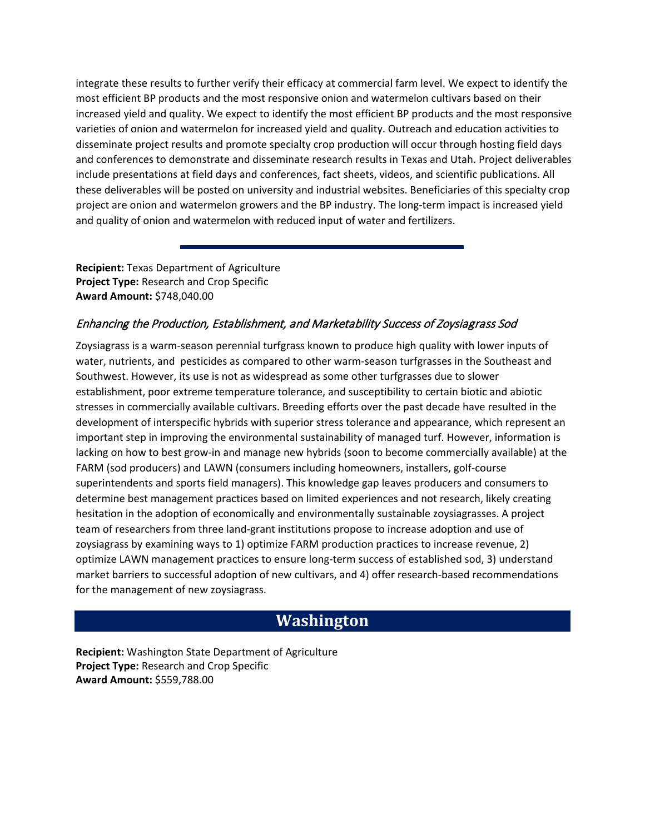integrate these results to further verify their efficacy at commercial farm level. We expect to identify the most efficient BP products and the most responsive onion and watermelon cultivars based on their increased yield and quality. We expect to identify the most efficient BP products and the most responsive varieties of onion and watermelon for increased yield and quality. Outreach and education activities to disseminate project results and promote specialty crop production will occur through hosting field days and conferences to demonstrate and disseminate research results in Texas and Utah. Project deliverables include presentations at field days and conferences, fact sheets, videos, and scientific publications. All these deliverables will be posted on university and industrial websites. Beneficiaries of this specialty crop project are onion and watermelon growers and the BP industry. The long-term impact is increased yield and quality of onion and watermelon with reduced input of water and fertilizers.

**Recipient:** Texas Department of Agriculture **Project Type:** Research and Crop Specific **Award Amount:** \$748,040.00

### Enhancing the Production, Establishment, and Marketability Success of Zoysiagrass Sod

Zoysiagrass is a warm-season perennial turfgrass known to produce high quality with lower inputs of water, nutrients, and pesticides as compared to other warm-season turfgrasses in the Southeast and Southwest. However, its use is not as widespread as some other turfgrasses due to slower establishment, poor extreme temperature tolerance, and susceptibility to certain biotic and abiotic stresses in commercially available cultivars. Breeding efforts over the past decade have resulted in the development of interspecific hybrids with superior stress tolerance and appearance, which represent an important step in improving the environmental sustainability of managed turf. However, information is lacking on how to best grow-in and manage new hybrids (soon to become commercially available) at the FARM (sod producers) and LAWN (consumers including homeowners, installers, golf-course superintendents and sports field managers). This knowledge gap leaves producers and consumers to determine best management practices based on limited experiences and not research, likely creating hesitation in the adoption of economically and environmentally sustainable zoysiagrasses. A project team of researchers from three land-grant institutions propose to increase adoption and use of zoysiagrass by examining ways to 1) optimize FARM production practices to increase revenue, 2) optimize LAWN management practices to ensure long-term success of established sod, 3) understand market barriers to successful adoption of new cultivars, and 4) offer research-based recommendations for the management of new zoysiagrass.

## **Washington**

**Recipient:** Washington State Department of Agriculture **Project Type:** Research and Crop Specific **Award Amount:** \$559,788.00